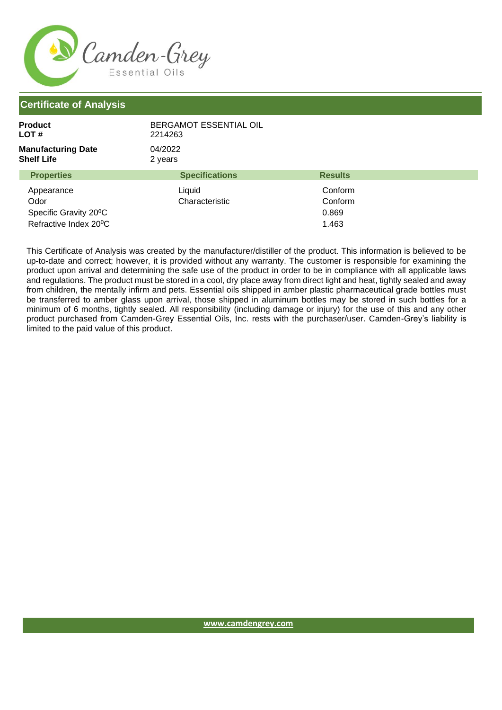

| Product<br>LOT #                        | BERGAMOT ESSENTIAL OIL<br>2214263 |                |  |
|-----------------------------------------|-----------------------------------|----------------|--|
| <b>Manufacturing Date</b><br>Shelf Life | 04/2022<br>2 years                |                |  |
| <b>Properties</b>                       | <b>Specifications</b>             | <b>Results</b> |  |
| Appearance                              | Liquid                            | Conform        |  |
| Odor                                    | Characteristic                    | Conform        |  |
| Specific Gravity 20°C                   |                                   | 0.869          |  |
| Refractive Index 20°C                   |                                   | 1.463          |  |

This Certificate of Analysis was created by the manufacturer/distiller of the product. This information is believed to be up-to-date and correct; however, it is provided without any warranty. The customer is responsible for examining the product upon arrival and determining the safe use of the product in order to be in compliance with all applicable laws and regulations. The product must be stored in a cool, dry place away from direct light and heat, tightly sealed and away from children, the mentally infirm and pets. Essential oils shipped in amber plastic pharmaceutical grade bottles must be transferred to amber glass upon arrival, those shipped in aluminum bottles may be stored in such bottles for a minimum of 6 months, tightly sealed. All responsibility (including damage or injury) for the use of this and any other product purchased from Camden-Grey Essential Oils, Inc. rests with the purchaser/user. Camden-Grey's liability is limited to the paid value of this product.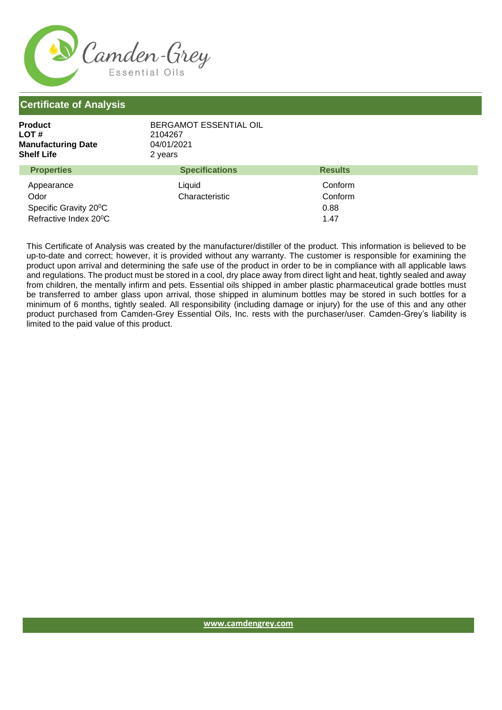

| Product<br>LOT #<br><b>Manufacturing Date</b><br>Shelf Life | BERGAMOT ESSENTIAL OIL<br>2104267<br>04/01/2021<br>2 years |                |  |
|-------------------------------------------------------------|------------------------------------------------------------|----------------|--|
| <b>Properties</b>                                           | <b>Specifications</b>                                      | <b>Results</b> |  |
|                                                             |                                                            |                |  |

| Appearance                         | Liquid         | Conform |  |
|------------------------------------|----------------|---------|--|
| Odor                               | Characteristic | Conform |  |
| Specific Gravity 20 <sup>°</sup> C |                | 0.88    |  |
| Refractive Index 20 <sup>°</sup> C |                | 1.47    |  |

This Certificate of Analysis was created by the manufacturer/distiller of the product. This information is believed to be up-to-date and correct; however, it is provided without any warranty. The customer is responsible for examining the product upon arrival and determining the safe use of the product in order to be in compliance with all applicable laws and regulations. The product must be stored in a cool, dry place away from direct light and heat, tightly sealed and away from children, the mentally infirm and pets. Essential oils shipped in amber plastic pharmaceutical grade bottles must be transferred to amber glass upon arrival, those shipped in aluminum bottles may be stored in such bottles for a minimum of 6 months, tightly sealed. All responsibility (including damage or injury) for the use of this and any other product purchased from Camden-Grey Essential Oils, Inc. rests with the purchaser/user. Camden-Grey's liability is limited to the paid value of this product.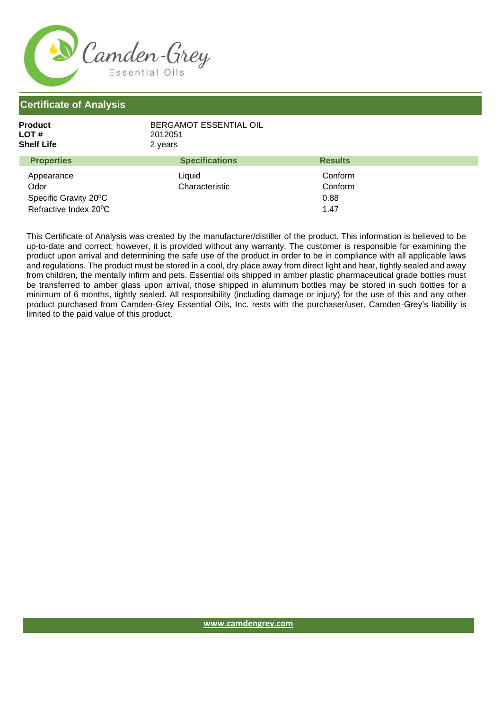

| <b>Product</b><br>LOT #<br><b>Shelf Life</b> | BERGAMOT ESSENTIAL OIL<br>2012051<br>2 years |                |  |
|----------------------------------------------|----------------------------------------------|----------------|--|
| <b>Properties</b>                            | <b>Specifications</b>                        | <b>Results</b> |  |
| Appearance                                   | Liquid                                       | Conform        |  |
| Odor                                         | Characteristic                               | Conform        |  |
| Specific Gravity 20 <sup>°</sup> C           |                                              | 0.88           |  |
| Refractive Index 20 <sup>°</sup> C           |                                              | 1.47           |  |

This Certificate of Analysis was created by the manufacturer/distiller of the product. This information is believed to be up-to-date and correct; however, it is provided without any warranty. The customer is responsible for examining the product upon arrival and determining the safe use of the product in order to be in compliance with all applicable laws and regulations. The product must be stored in a cool, dry place away from direct light and heat, tightly sealed and away from children, the mentally infirm and pets. Essential oils shipped in amber plastic pharmaceutical grade bottles must be transferred to amber glass upon arrival, those shipped in aluminum bottles may be stored in such bottles for a minimum of 6 months, tightly sealed. All responsibility (including damage or injury) for the use of this and any other product purchased from Camden-Grey Essential Oils, Inc. rests with the purchaser/user. Camden-Grey's liability is limited to the paid value of this product.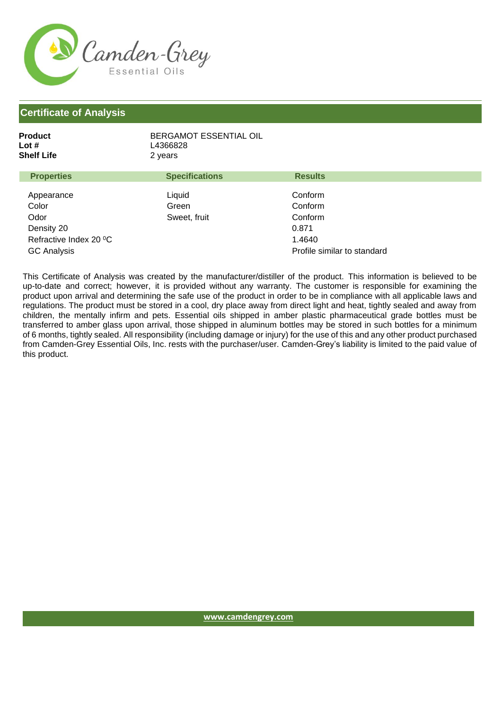

| Product    | BERGAMOT ESSENTIAL OIL |
|------------|------------------------|
| Lot #      | L4366828               |
| Shelf Life | 2 years                |
|            |                        |

| <b>Properties</b>      | <b>Specifications</b> | <b>Results</b>              |
|------------------------|-----------------------|-----------------------------|
| Appearance<br>Color    | Liquid<br>Green       | Conform<br>Conform          |
| Odor                   | Sweet, fruit          | Conform                     |
| Density 20             |                       | 0.871                       |
| Refractive Index 20 °C |                       | 1.4640                      |
| <b>GC Analysis</b>     |                       | Profile similar to standard |

This Certificate of Analysis was created by the manufacturer/distiller of the product. This information is believed to be up-to-date and correct; however, it is provided without any warranty. The customer is responsible for examining the product upon arrival and determining the safe use of the product in order to be in compliance with all applicable laws and regulations. The product must be stored in a cool, dry place away from direct light and heat, tightly sealed and away from children, the mentally infirm and pets. Essential oils shipped in amber plastic pharmaceutical grade bottles must be transferred to amber glass upon arrival, those shipped in aluminum bottles may be stored in such bottles for a minimum of 6 months, tightly sealed. All responsibility (including damage or injury) for the use of this and any other product purchased from Camden-Grey Essential Oils, Inc. rests with the purchaser/user. Camden-Grey's liability is limited to the paid value of this product.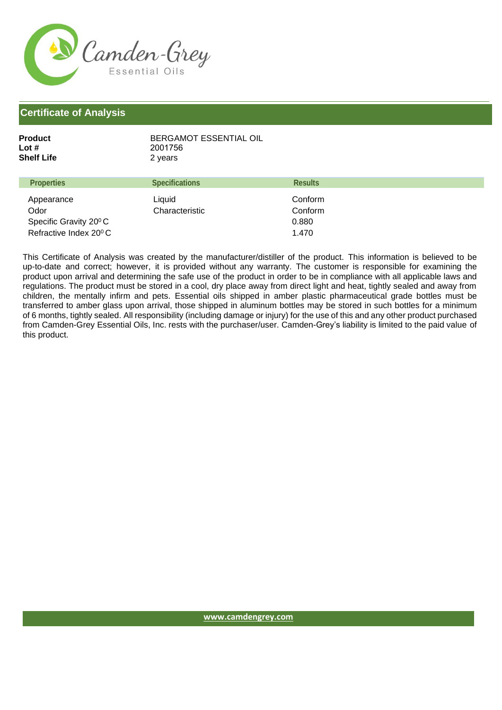

| Product    | BERGAMOT ESSENTIAL OIL |
|------------|------------------------|
| Lot #      | 2001756                |
| Shelf Life | 2 years                |
|            |                        |

| <b>Properties</b>                  | <b>Results</b><br><b>Specifications</b> |  |
|------------------------------------|-----------------------------------------|--|
| Liquid<br>Appearance               | Conform                                 |  |
| Odor                               | Characteristic<br>Conform               |  |
| Specific Gravity 20 <sup>°</sup> C | 0.880                                   |  |
| Refractive Index 20 <sup>°</sup> C | 1.470                                   |  |

This Certificate of Analysis was created by the manufacturer/distiller of the product. This information is believed to be up-to-date and correct; however, it is provided without any warranty. The customer is responsible for examining the product upon arrival and determining the safe use of the product in order to be in compliance with all applicable laws and regulations. The product must be stored in a cool, dry place away from direct light and heat, tightly sealed and away from children, the mentally infirm and pets. Essential oils shipped in amber plastic pharmaceutical grade bottles must be transferred to amber glass upon arrival, those shipped in aluminum bottles may be stored in such bottles for a minimum of 6 months, tightly sealed. All responsibility (including damage or injury) for the use of this and any other product purchased from Camden-Grey Essential Oils, Inc. rests with the purchaser/user. Camden-Grey's liability is limited to the paid value of this product.